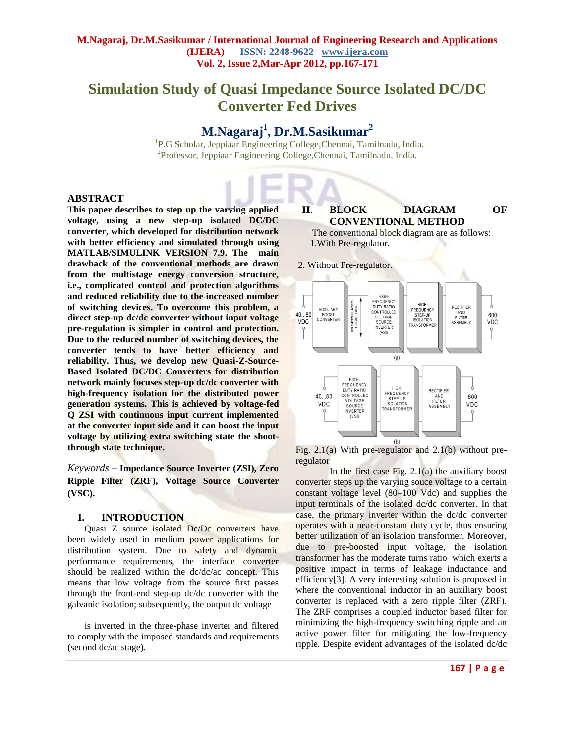# **Simulation Study of Quasi Impedance Source Isolated DC/DC Converter Fed Drives**

## **M.Nagaraj<sup>1</sup> , Dr.M.Sasikumar<sup>2</sup>**

<sup>1</sup>P.G Scholar, Jeppiaar Engineering College, Chennai, Tamilnadu, India. 2 Professor, Jeppiaar Engineering College,Chennai, Tamilnadu, India.

#### **ABSTRACT**

**This paper describes to step up the varying applied voltage, using a new step-up isolated DC/DC converter, which developed for distribution network with better efficiency and simulated through using MATLAB/SIMULINK VERSION 7.9. The main drawback of the conventional methods are drawn from the multistage energy conversion structure, i.e., complicated control and protection algorithms and reduced reliability due to the increased number of switching devices. To overcome this problem, a direct step-up dc/dc converter without input voltage pre-regulation is simpler in control and protection. Due to the reduced number of switching devices, the converter tends to have better efficiency and reliability. Thus, we develop new Quasi-Z-Source-Based Isolated DC/DC Converters for distribution network mainly focuses step-up dc/dc converter with high-frequency isolation for the distributed power generation systems. This is achieved by voltage-fed Q ZSI with continuous input current implemented at the converter input side and it can boost the input voltage by utilizing extra switching state the shootthrough state technique.** 

*Keywords* **– Impedance Source Inverter (ZSI), Zero Ripple Filter (ZRF), Voltage Source Converter (VSC).**

#### **I. INTRODUCTION**

Quasi Z source isolated Dc/Dc converters have been widely used in medium power applications for distribution system. Due to safety and dynamic performance requirements, the interface converter should be realized within the dc/dc/ac concept. This means that low voltage from the source first passes through the front-end step-up dc/dc converter with the galvanic isolation; subsequently, the output dc voltage

is inverted in the three-phase inverter and filtered to comply with the imposed standards and requirements (second dc/ac stage).

#### **II. BLOCK DIAGRAM OF CONVENTIONAL METHOD**

The conventional block diagram are as follows: 1.With Pre-regulator.

2. Without Pre-regulator.



Fig.  $2.1(a)$  With pre-regulator and  $2.1(b)$  without preregulator

In the first case Fig.  $2.1(a)$  the auxiliary boost converter steps up the varying souce voltage to a certain constant voltage level (80–100 Vdc) and supplies the input terminals of the isolated dc/dc converter. In that case, the primary inverter within the dc/dc converter operates with a near-constant duty cycle, thus ensuring better utilization of an isolation transformer. Moreover, due to pre-boosted input voltage, the isolation transformer has the moderate turns ratio which exerts a positive impact in terms of leakage inductance and efficiency[3]. A very interesting solution is proposed in where the conventional inductor in an auxiliary boost converter is replaced with a zero ripple filter (ZRF). The ZRF comprises a coupled inductor based filter for minimizing the high-frequency switching ripple and an active power filter for mitigating the low-frequency ripple. Despite evident advantages of the isolated dc/dc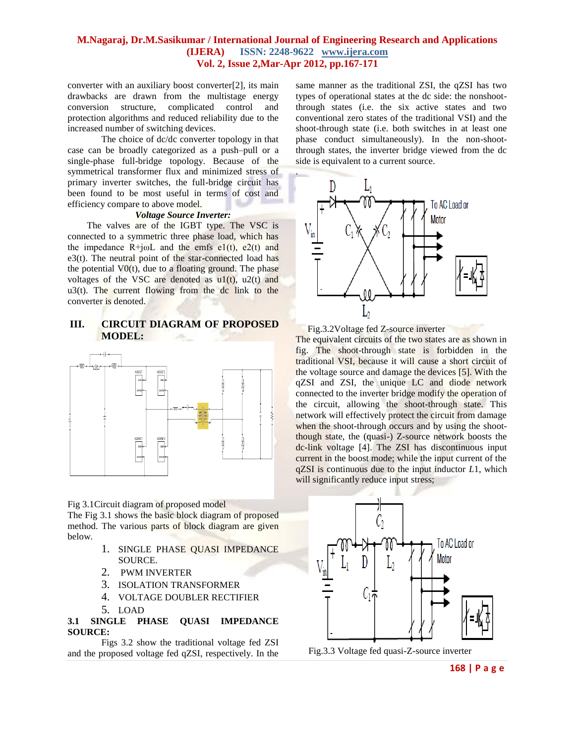.

converter with an auxiliary boost converter[2], its main drawbacks are drawn from the multistage energy conversion structure, complicated control and protection algorithms and reduced reliability due to the increased number of switching devices.

The choice of dc/dc converter topology in that case can be broadly categorized as a push–pull or a single-phase full-bridge topology. Because of the symmetrical transformer flux and minimized stress of primary inverter switches, the full-bridge circuit has been found to be most useful in terms of cost and efficiency compare to above model.

#### *Voltage Source Inverter:*

The valves are of the IGBT type. The VSC is connected to a symmetric three phase load, which has the impedance  $R+j\omega L$  and the emfs e1(t), e2(t) and e3(t). The neutral point of the star-connected load has the potential  $V0(t)$ , due to a floating ground. The phase voltages of the VSC are denoted as  $u1(t)$ ,  $u2(t)$  and  $u3(t)$ . The current flowing from the dc link to the converter is denoted.

### **III. CIRCUIT DIAGRAM OF PROPOSED MODEL:**



Fig 3.1Circuit diagram of proposed model

The Fig 3.1 shows the basic block diagram of proposed method. The various parts of block diagram are given below.

- 1. SINGLE PHASE QUASI IMPEDANCE SOURCE.
- 2. PWM INVERTER
- 3. ISOLATION TRANSFORMER
- 4. VOLTAGE DOUBLER RECTIFIER
- 5. LOAD

**3.1 SINGLE PHASE QUASI IMPEDANCE SOURCE:**

Figs 3.2 show the traditional voltage fed ZSI and the proposed voltage fed qZSI, respectively. In the

same manner as the traditional ZSI, the qZSI has two types of operational states at the dc side: the nonshootthrough states (i.e. the six active states and two conventional zero states of the traditional VSI) and the shoot-through state (i.e. both switches in at least one phase conduct simultaneously). In the non-shootthrough states, the inverter bridge viewed from the dc side is equivalent to a current source.



Fig.3.2Voltage fed Z-source inverter

The equivalent circuits of the two states are as shown in fig. The shoot-through state is forbidden in the traditional VSI, because it will cause a short circuit of the voltage source and damage the devices [5]. With the qZSI and ZSI, the unique LC and diode network connected to the inverter bridge modify the operation of the circuit, allowing the shoot-through state. This network will effectively protect the circuit from damage when the shoot-through occurs and by using the shootthough state, the (quasi-) Z-source network boosts the dc-link voltage [4]. The ZSI has discontinuous input current in the boost mode; while the input current of the qZSI is continuous due to the input inductor *L*1, which will significantly reduce input stress;



**168 | P a g e**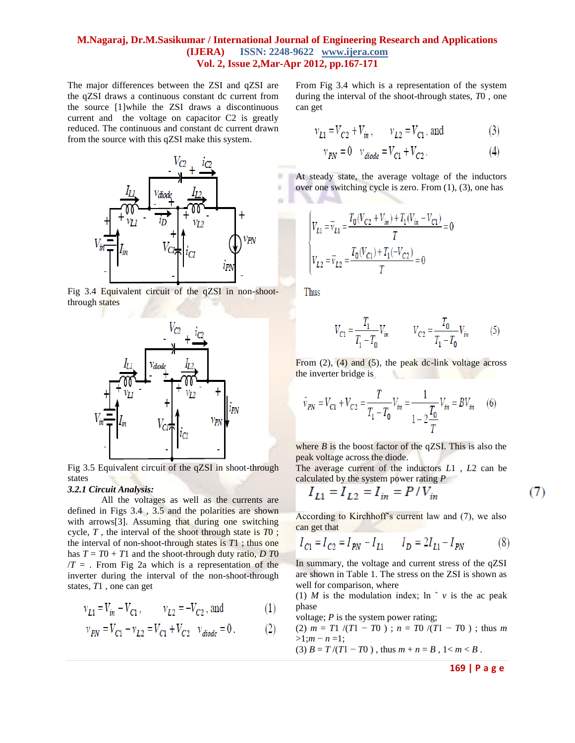$\frac{1}{2}$ 

The major differences between the ZSI and qZSI are the qZSI draws a continuous constant dc current from the source [1]while the ZSI draws a discontinuous current and the voltage on capacitor C2 is greatly reduced. The continuous and constant dc current drawn from the source with this qZSI make this system.



Fig 3.4 Equivalent circuit of the qZSI in non-shootthrough states



Fig 3.5 Equivalent circuit of the qZSI in shoot-through states

#### *3.2.1 Circuit Analysis:*

All the voltages as well as the currents are defined in Figs 3.4 , 3.5 and the polarities are shown with arrows[3]. Assuming that during one switching cycle, *T* , the interval of the shoot through state is *T*0 ; the interval of non-shoot-through states is *T*1 ; thus one has  $T = T0 + T1$  and the shoot-through duty ratio, *D T*0  $/T =$ . From Fig 2a which is a representation of the inverter during the interval of the non-shoot-through states, *T*1 , one can get

$$
v_{L1} = V_{in} - V_{C1}, \qquad v_{L2} = -V_{C2}, \text{ and} \tag{1}
$$

$$
v_{PN} = V_{C1} - v_{L2} = V_{C1} + V_{C2} \quad v_{diode} = 0. \tag{2}
$$

From Fig 3.4 which is a representation of the system during the interval of the shoot-through states, *T*0 , one can get

$$
v_{L1} = V_{C2} + V_{in}
$$
,  $v_{L2} = V_{C1}$ , and (3)

$$
v_{PN} = 0 \t v_{diode} = V_{C1} + V_{C2}. \t(4)
$$

At steady state, the average voltage of the inductors over one switching cycle is zero. From (1), (3), one has

$$
\begin{cases} V_{L1} = \overline{v}_{L1} = \frac{T_0 (V_{C2} + V_{in}) + T_1 (V_{in} - V_{C1})}{T} = 0 \\ V_{L2} = \overline{v}_{L2} = \frac{T_0 (V_{C1}) + T_1 (-V_{C2})}{T} = 0 \end{cases}
$$

Thus

$$
V_{C1} = \frac{T_1}{T_1 - T_0} V_{in} \qquad V_{C2} = \frac{T_0}{T_1 - T_0} V_{in} \qquad (5)
$$

From  $(2)$ ,  $(4)$  and  $(5)$ , the peak dc-link voltage across the inverter bridge is

$$
\hat{v}_{PN} = V_{C1} + V_{C2} = \frac{T}{T_1 - T_0} V_{in} = \frac{1}{1 - 2\frac{T_0}{T}} V_{in} = BV_{in} \quad (6)
$$

where  $B$  is the boost factor of the qZSI. This is also the peak voltage across the diode.

The average current of the inductors *L*1 , *L*2 can be calculated by the system power rating *P*

$$
I_{L1} = I_{L2} = I_{in} = P/V_{in}
$$
 (7)

According to Kirchhoff's current law and (7), we also can get that

$$
I_{C1} = I_{C2} = I_{PN} - I_{L1} \t I_D = 2I_{L1} - I_{PN}
$$
 (8)

In summary, the voltage and current stress of the qZSI are shown in Table 1. The stress on the ZSI is shown as well for comparison, where

(1) *M* is the modulation index;  $\ln \hat{v}$  *v* is the ac peak phase

voltage; *P* is the system power rating;

(2)  $m = T1 / (T1 - T0)$ ;  $n = T0 / (T1 - T0)$ ; thus *m* >1;*m* − *n* =1;

(3)  $B = T/(T1 - T0)$ , thus  $m + n = B$ ,  $1 < m < B$ .

**169 | P a g e**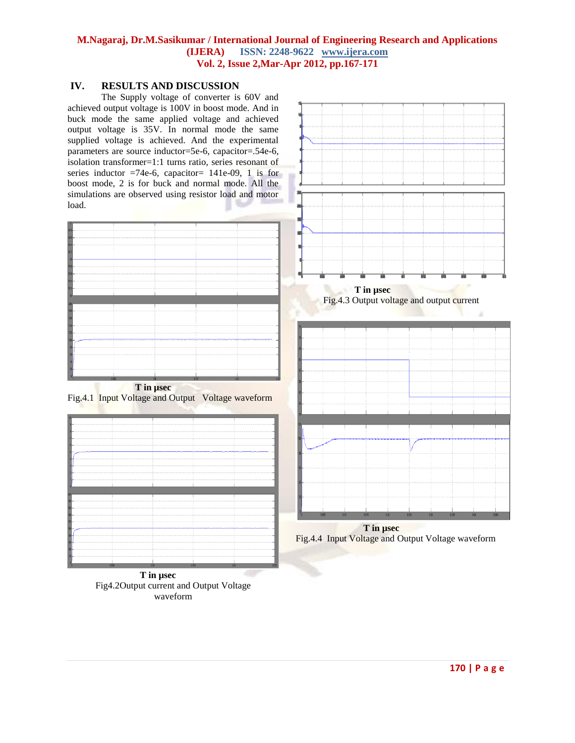## **IV. RESULTS AND DISCUSSION**

The Supply voltage of converter is 60V and achieved output voltage is 100V in boost mode. And in buck mode the same applied voltage and achieved output voltage is 35V. In normal mode the same supplied voltage is achieved. And the experimental parameters are source inductor=5e-6, capacitor=.54e-6, isolation transformer=1:1 turns ratio, series resonant of series inductor  $=74e-6$ , capacitor = 141e-09, 1 is for boost mode, 2 is for buck and normal mode. All the simulations are observed using resistor load and motor load.

| --------------                                                                                                                                                        |
|-----------------------------------------------------------------------------------------------------------------------------------------------------------------------|
|                                                                                                                                                                       |
|                                                                                                                                                                       |
|                                                                                                                                                                       |
|                                                                                                                                                                       |
| -----------                                                                                                                                                           |
|                                                                                                                                                                       |
|                                                                                                                                                                       |
|                                                                                                                                                                       |
|                                                                                                                                                                       |
|                                                                                                                                                                       |
| a ser e construir e concerta e construir a construir de configurada e a formal de 1950 e 1950 e 1950.                                                                 |
|                                                                                                                                                                       |
| рания по полно по возново по возросси назван полно насельно полно на полно полно полно на фотого полно от полно полно полно полно полно полно полно полно полно полно |
|                                                                                                                                                                       |
|                                                                                                                                                                       |
|                                                                                                                                                                       |
|                                                                                                                                                                       |

 **T in µsec**  Fig.4.1 Input Voltage and Output Voltage waveform



 **T in µsec** Fig4.2Output current and Output Voltage waveform



Fig.4.4 Input Voltage and Output Voltage waveform